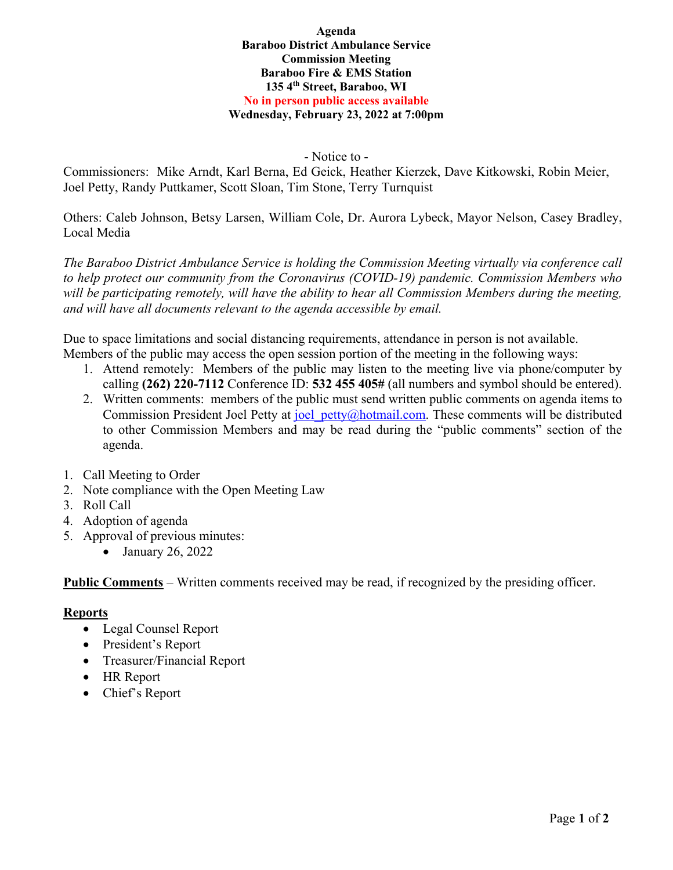#### **Agenda Baraboo District Ambulance Service Commission Meeting Baraboo Fire & EMS Station 135 4th Street, Baraboo, WI No in person public access available Wednesday, February 23, 2022 at 7:00pm**

- Notice to -

Commissioners: Mike Arndt, Karl Berna, Ed Geick, Heather Kierzek, Dave Kitkowski, Robin Meier, Joel Petty, Randy Puttkamer, Scott Sloan, Tim Stone, Terry Turnquist

Others: Caleb Johnson, Betsy Larsen, William Cole, Dr. Aurora Lybeck, Mayor Nelson, Casey Bradley, Local Media

*The Baraboo District Ambulance Service is holding the Commission Meeting virtually via conference call to help protect our community from the Coronavirus (COVID-19) pandemic. Commission Members who*  will be participating remotely, will have the ability to hear all Commission Members during the meeting, *and will have all documents relevant to the agenda accessible by email.* 

Due to space limitations and social distancing requirements, attendance in person is not available. Members of the public may access the open session portion of the meeting in the following ways:

- 1. Attend remotely: Members of the public may listen to the meeting live via phone/computer by calling **(262) 220-7112** Conference ID: **532 455 405#** (all numbers and symbol should be entered).
- 2. Written comments: members of the public must send written public comments on agenda items to Commission President Joel Petty at joel petty@hotmail.com. These comments will be distributed to other Commission Members and may be read during the "public comments" section of the agenda.
- 1. Call Meeting to Order
- 2. Note compliance with the Open Meeting Law
- 3. Roll Call
- 4. Adoption of agenda
- 5. Approval of previous minutes:
	- $\bullet$  January 26, 2022

**Public Comments** – Written comments received may be read, if recognized by the presiding officer.

# **Reports**

- Legal Counsel Report
- President's Report
- Treasurer/Financial Report
- HR Report
- Chief's Report